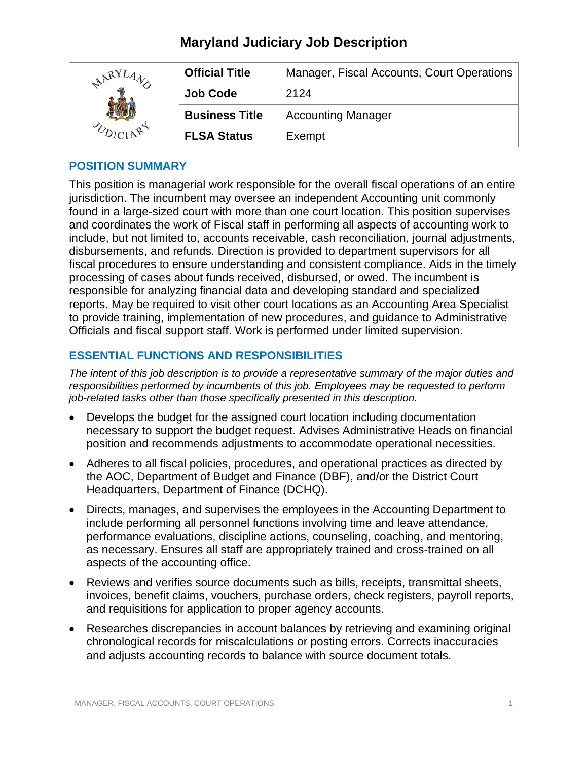| LARYI | <b>Official Title</b> | Manager, Fiscal Accounts, Court Operations |
|-------|-----------------------|--------------------------------------------|
|       | <b>Job Code</b>       | 2124                                       |
|       | <b>Business Title</b> | <b>Accounting Manager</b>                  |
|       | <b>FLSA Status</b>    | Exempt                                     |

#### **POSITION SUMMARY**

This position is managerial work responsible for the overall fiscal operations of an entire jurisdiction. The incumbent may oversee an independent Accounting unit commonly found in a large-sized court with more than one court location. This position supervises and coordinates the work of Fiscal staff in performing all aspects of accounting work to include, but not limited to, accounts receivable, cash reconciliation, journal adjustments, disbursements, and refunds. Direction is provided to department supervisors for all fiscal procedures to ensure understanding and consistent compliance. Aids in the timely processing of cases about funds received, disbursed, or owed. The incumbent is responsible for analyzing financial data and developing standard and specialized reports. May be required to visit other court locations as an Accounting Area Specialist to provide training, implementation of new procedures, and guidance to Administrative Officials and fiscal support staff. Work is performed under limited supervision.

## **ESSENTIAL FUNCTIONS AND RESPONSIBILITIES**

*The intent of this job description is to provide a representative summary of the major duties and responsibilities performed by incumbents of this job. Employees may be requested to perform job-related tasks other than those specifically presented in this description.*

- Develops the budget for the assigned court location including documentation necessary to support the budget request. Advises Administrative Heads on financial position and recommends adjustments to accommodate operational necessities.
- Adheres to all fiscal policies, procedures, and operational practices as directed by the AOC, Department of Budget and Finance (DBF), and/or the District Court Headquarters, Department of Finance (DCHQ).
- Directs, manages, and supervises the employees in the Accounting Department to include performing all personnel functions involving time and leave attendance, performance evaluations, discipline actions, counseling, coaching, and mentoring, as necessary. Ensures all staff are appropriately trained and cross-trained on all aspects of the accounting office.
- Reviews and verifies source documents such as bills, receipts, transmittal sheets, invoices, benefit claims, vouchers, purchase orders, check registers, payroll reports, and requisitions for application to proper agency accounts.
- Researches discrepancies in account balances by retrieving and examining original chronological records for miscalculations or posting errors. Corrects inaccuracies and adjusts accounting records to balance with source document totals.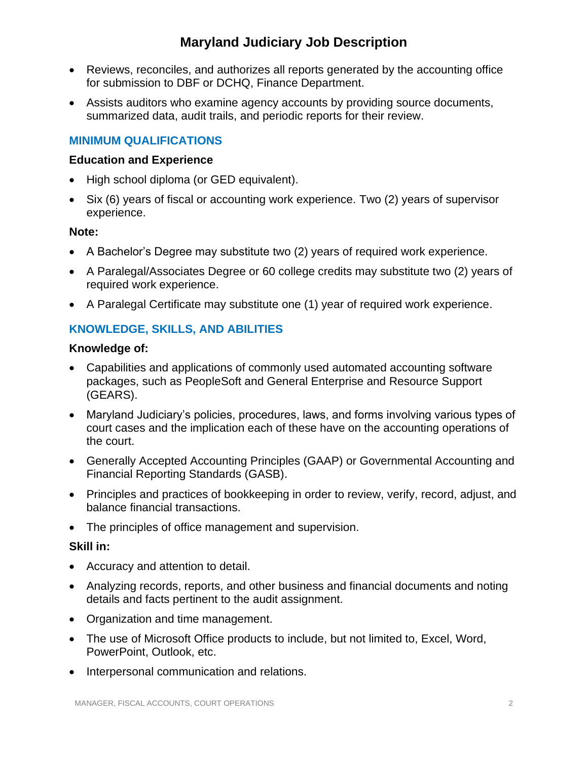- Reviews, reconciles, and authorizes all reports generated by the accounting office for submission to DBF or DCHQ, Finance Department.
- Assists auditors who examine agency accounts by providing source documents, summarized data, audit trails, and periodic reports for their review.

## **MINIMUM QUALIFICATIONS**

#### **Education and Experience**

- High school diploma (or GED equivalent).
- Six (6) years of fiscal or accounting work experience. Two (2) years of supervisor experience.

#### **Note:**

- A Bachelor's Degree may substitute two (2) years of required work experience.
- A Paralegal/Associates Degree or 60 college credits may substitute two (2) years of required work experience.
- A Paralegal Certificate may substitute one (1) year of required work experience.

## **KNOWLEDGE, SKILLS, AND ABILITIES**

#### **Knowledge of:**

- Capabilities and applications of commonly used automated accounting software packages, such as PeopleSoft and General Enterprise and Resource Support (GEARS).
- Maryland Judiciary's policies, procedures, laws, and forms involving various types of court cases and the implication each of these have on the accounting operations of the court.
- Generally Accepted Accounting Principles (GAAP) or Governmental Accounting and Financial Reporting Standards (GASB).
- Principles and practices of bookkeeping in order to review, verify, record, adjust, and balance financial transactions.
- The principles of office management and supervision.

#### **Skill in:**

- Accuracy and attention to detail.
- Analyzing records, reports, and other business and financial documents and noting details and facts pertinent to the audit assignment.
- Organization and time management.
- The use of Microsoft Office products to include, but not limited to, Excel, Word, PowerPoint, Outlook, etc.
- Interpersonal communication and relations.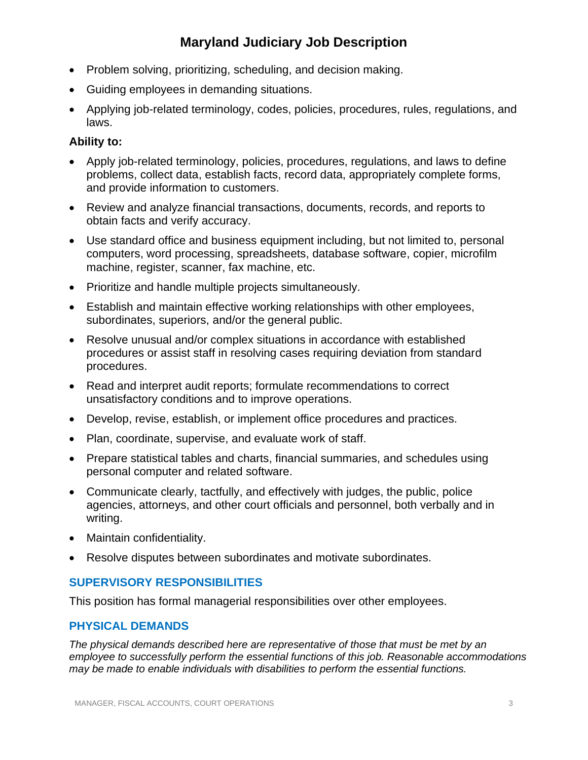- Problem solving, prioritizing, scheduling, and decision making.
- Guiding employees in demanding situations.
- Applying job-related terminology, codes, policies, procedures, rules, regulations, and laws.

#### **Ability to:**

- Apply job-related terminology, policies, procedures, regulations, and laws to define problems, collect data, establish facts, record data, appropriately complete forms, and provide information to customers.
- Review and analyze financial transactions, documents, records, and reports to obtain facts and verify accuracy.
- Use standard office and business equipment including, but not limited to, personal computers, word processing, spreadsheets, database software, copier, microfilm machine, register, scanner, fax machine, etc.
- Prioritize and handle multiple projects simultaneously.
- Establish and maintain effective working relationships with other employees, subordinates, superiors, and/or the general public.
- Resolve unusual and/or complex situations in accordance with established procedures or assist staff in resolving cases requiring deviation from standard procedures.
- Read and interpret audit reports; formulate recommendations to correct unsatisfactory conditions and to improve operations.
- Develop, revise, establish, or implement office procedures and practices.
- Plan, coordinate, supervise, and evaluate work of staff.
- Prepare statistical tables and charts, financial summaries, and schedules using personal computer and related software.
- Communicate clearly, tactfully, and effectively with judges, the public, police agencies, attorneys, and other court officials and personnel, both verbally and in writing.
- Maintain confidentiality.
- Resolve disputes between subordinates and motivate subordinates.

#### **SUPERVISORY RESPONSIBILITIES**

This position has formal managerial responsibilities over other employees.

#### **PHYSICAL DEMANDS**

*The physical demands described here are representative of those that must be met by an employee to successfully perform the essential functions of this job. Reasonable accommodations may be made to enable individuals with disabilities to perform the essential functions.*